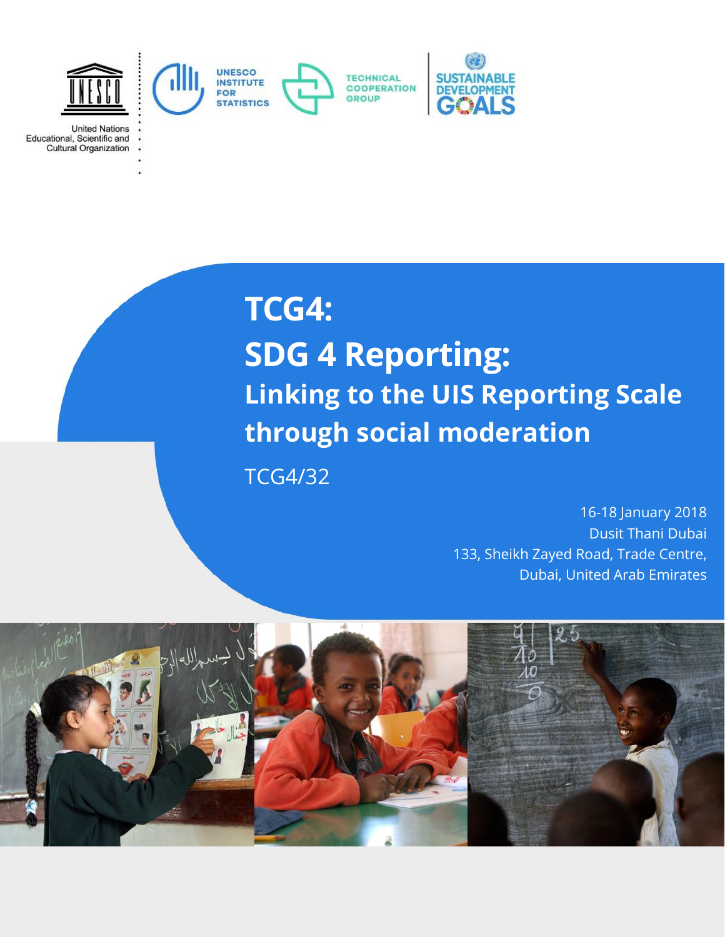

**United Nations** Educational, Scientific and Cultural Organization

# **TCG4: SDG 4 Reporting: Linking to the UIS Reporting Scale through social moderation**

TCG4/32

16-18 January 2018 Dusit Thani Dubai 133, Sheikh Zayed Road, Trade Centre, Dubai, United Arab Emirates

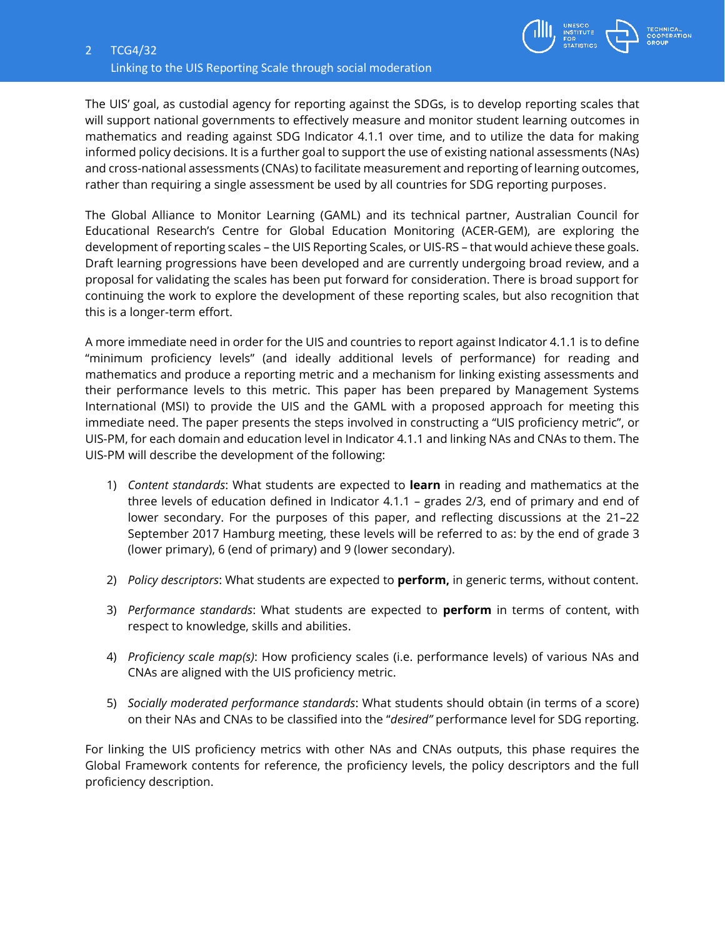

The UIS' goal, as custodial agency for reporting against the SDGs, is to develop reporting scales that will support national governments to effectively measure and monitor student learning outcomes in mathematics and reading against SDG Indicator 4.1.1 over time, and to utilize the data for making informed policy decisions. It is a further goal to support the use of existing national assessments (NAs) and cross-national assessments (CNAs) to facilitate measurement and reporting of learning outcomes, rather than requiring a single assessment be used by all countries for SDG reporting purposes.

The Global Alliance to Monitor Learning (GAML) and its technical partner, Australian Council for Educational Research's Centre for Global Education Monitoring (ACER-GEM), are exploring the development of reporting scales – the UIS Reporting Scales, or UIS-RS – that would achieve these goals. Draft learning progressions have been developed and are currently undergoing broad review, and a proposal for validating the scales has been put forward for consideration. There is broad support for continuing the work to explore the development of these reporting scales, but also recognition that this is a longer-term effort.

A more immediate need in order for the UIS and countries to report against Indicator 4.1.1 is to define "minimum proficiency levels" (and ideally additional levels of performance) for reading and mathematics and produce a reporting metric and a mechanism for linking existing assessments and their performance levels to this metric. This paper has been prepared by Management Systems International (MSI) to provide the UIS and the GAML with a proposed approach for meeting this immediate need. The paper presents the steps involved in constructing a "UIS proficiency metric", or UIS-PM, for each domain and education level in Indicator 4.1.1 and linking NAs and CNAs to them. The UIS-PM will describe the development of the following:

- 1) *Content standards*: What students are expected to **learn** in reading and mathematics at the three levels of education defined in Indicator 4.1.1 – grades 2/3, end of primary and end of lower secondary. For the purposes of this paper, and reflecting discussions at the 21–22 September 2017 Hamburg meeting, these levels will be referred to as: by the end of grade 3 (lower primary), 6 (end of primary) and 9 (lower secondary).
- 2) *Policy descriptors*: What students are expected to **perform,** in generic terms, without content.
- 3) *Performance standards*: What students are expected to **perform** in terms of content, with respect to knowledge, skills and abilities.
- 4) *Proficiency scale map(s)*: How proficiency scales (i.e. performance levels) of various NAs and CNAs are aligned with the UIS proficiency metric.
- 5) *Socially moderated performance standards*: What students should obtain (in terms of a score) on their NAs and CNAs to be classified into the "*desired"* performance level for SDG reporting.

For linking the UIS proficiency metrics with other NAs and CNAs outputs, this phase requires the Global Framework contents for reference, the proficiency levels, the policy descriptors and the full proficiency description.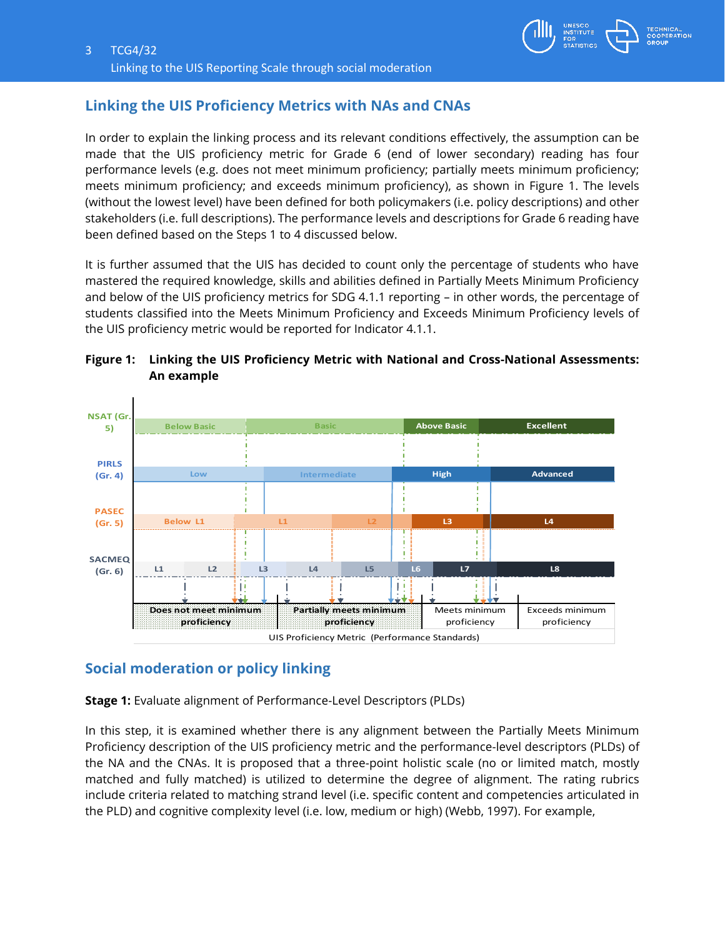

### **Linking the UIS Proficiency Metrics with NAs and CNAs**

In order to explain the linking process and its relevant conditions effectively, the assumption can be made that the UIS proficiency metric for Grade 6 (end of lower secondary) reading has four performance levels (e.g. does not meet minimum proficiency; partially meets minimum proficiency; meets minimum proficiency; and exceeds minimum proficiency), as shown in Figure 1. The levels (without the lowest level) have been defined for both policymakers (i.e. policy descriptions) and other stakeholders (i.e. full descriptions). The performance levels and descriptions for Grade 6 reading have been defined based on the Steps 1 to 4 discussed below.

It is further assumed that the UIS has decided to count only the percentage of students who have mastered the required knowledge, skills and abilities defined in Partially Meets Minimum Proficiency and below of the UIS proficiency metrics for SDG 4.1.1 reporting – in other words, the percentage of students classified into the Meets Minimum Proficiency and Exceeds Minimum Proficiency levels of the UIS proficiency metric would be reported for Indicator 4.1.1.



#### **Figure 1: Linking the UIS Proficiency Metric with National and Cross-National Assessments: An example**

## **Social moderation or policy linking**

**Stage 1:** Evaluate alignment of Performance-Level Descriptors (PLDs)

In this step, it is examined whether there is any alignment between the Partially Meets Minimum Proficiency description of the UIS proficiency metric and the performance-level descriptors (PLDs) of the NA and the CNAs. It is proposed that a three-point holistic scale (no or limited match, mostly matched and fully matched) is utilized to determine the degree of alignment. The rating rubrics include criteria related to matching strand level (i.e. specific content and competencies articulated in the PLD) and cognitive complexity level (i.e. low, medium or high) (Webb, 1997). For example,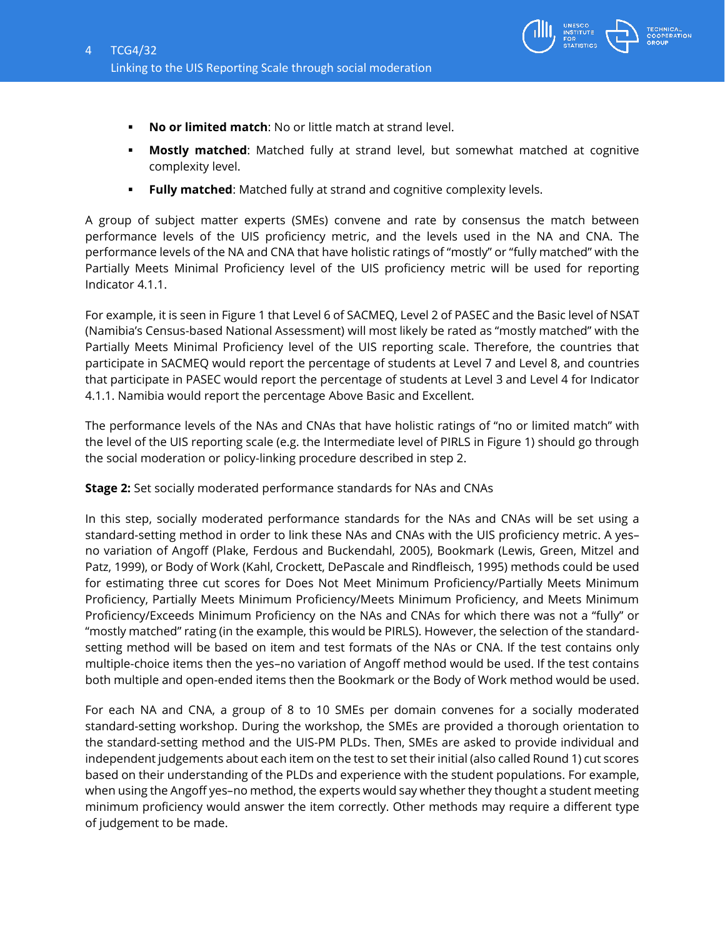

- **No or limited match**: No or little match at strand level.
- **Mostly matched**: Matched fully at strand level, but somewhat matched at cognitive complexity level.
- **Fully matched**: Matched fully at strand and cognitive complexity levels.

A group of subject matter experts (SMEs) convene and rate by consensus the match between performance levels of the UIS proficiency metric, and the levels used in the NA and CNA. The performance levels of the NA and CNA that have holistic ratings of "mostly" or "fully matched" with the Partially Meets Minimal Proficiency level of the UIS proficiency metric will be used for reporting Indicator 4.1.1.

For example, it is seen in Figure 1 that Level 6 of SACMEQ, Level 2 of PASEC and the Basic level of NSAT (Namibia's Census-based National Assessment) will most likely be rated as "mostly matched" with the Partially Meets Minimal Proficiency level of the UIS reporting scale. Therefore, the countries that participate in SACMEQ would report the percentage of students at Level 7 and Level 8, and countries that participate in PASEC would report the percentage of students at Level 3 and Level 4 for Indicator 4.1.1. Namibia would report the percentage Above Basic and Excellent.

The performance levels of the NAs and CNAs that have holistic ratings of "no or limited match" with the level of the UIS reporting scale (e.g. the Intermediate level of PIRLS in Figure 1) should go through the social moderation or policy-linking procedure described in step 2.

**Stage 2:** Set socially moderated performance standards for NAs and CNAs

In this step, socially moderated performance standards for the NAs and CNAs will be set using a standard-setting method in order to link these NAs and CNAs with the UIS proficiency metric. A yes– no variation of Angoff (Plake, Ferdous and Buckendahl, 2005), Bookmark (Lewis, Green, Mitzel and Patz, 1999), or Body of Work (Kahl, Crockett, DePascale and Rindfleisch, 1995) methods could be used for estimating three cut scores for Does Not Meet Minimum Proficiency/Partially Meets Minimum Proficiency, Partially Meets Minimum Proficiency/Meets Minimum Proficiency, and Meets Minimum Proficiency/Exceeds Minimum Proficiency on the NAs and CNAs for which there was not a "fully" or "mostly matched" rating (in the example, this would be PIRLS). However, the selection of the standardsetting method will be based on item and test formats of the NAs or CNA. If the test contains only multiple-choice items then the yes–no variation of Angoff method would be used. If the test contains both multiple and open-ended items then the Bookmark or the Body of Work method would be used.

For each NA and CNA, a group of 8 to 10 SMEs per domain convenes for a socially moderated standard-setting workshop. During the workshop, the SMEs are provided a thorough orientation to the standard-setting method and the UIS-PM PLDs. Then, SMEs are asked to provide individual and independent judgements about each item on the test to set their initial (also called Round 1) cut scores based on their understanding of the PLDs and experience with the student populations. For example, when using the Angoff yes–no method, the experts would say whether they thought a student meeting minimum proficiency would answer the item correctly. Other methods may require a different type of judgement to be made.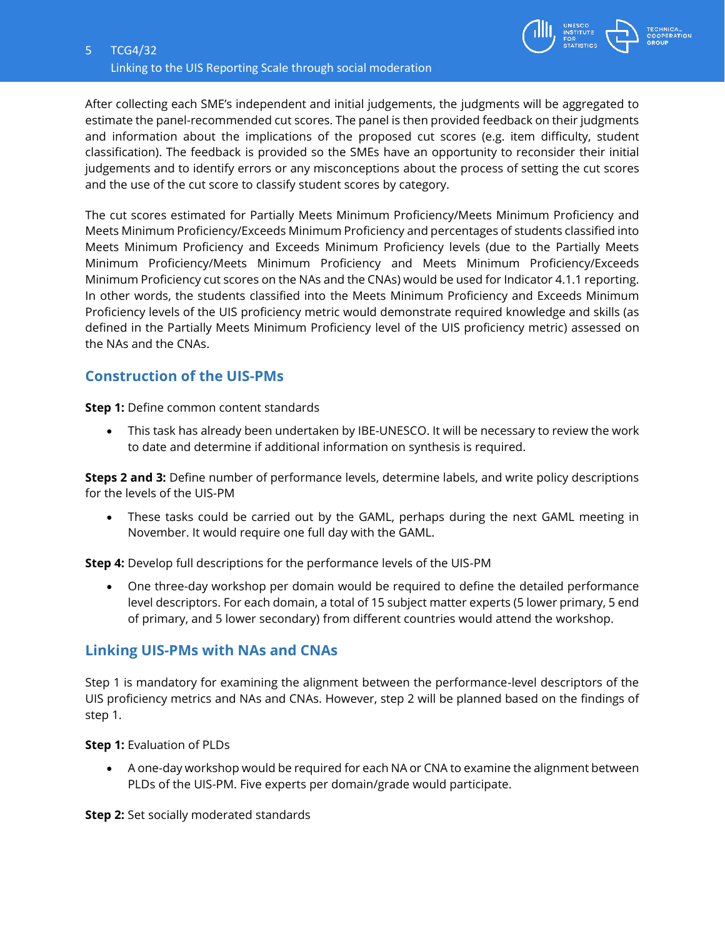

After collecting each SME's independent and initial judgements, the judgments will be aggregated to estimate the panel-recommended cut scores. The panel is then provided feedback on their judgments and information about the implications of the proposed cut scores (e.g. item difficulty, student classification). The feedback is provided so the SMEs have an opportunity to reconsider their initial judgements and to identify errors or any misconceptions about the process of setting the cut scores and the use of the cut score to classify student scores by category.

The cut scores estimated for Partially Meets Minimum Proficiency/Meets Minimum Proficiency and Meets Minimum Proficiency/Exceeds Minimum Proficiency and percentages of students classified into Meets Minimum Proficiency and Exceeds Minimum Proficiency levels (due to the Partially Meets Minimum Proficiency/Meets Minimum Proficiency and Meets Minimum Proficiency/Exceeds Minimum Proficiency cut scores on the NAs and the CNAs) would be used for Indicator 4.1.1 reporting. In other words, the students classified into the Meets Minimum Proficiency and Exceeds Minimum Proficiency levels of the UIS proficiency metric would demonstrate required knowledge and skills (as defined in the Partially Meets Minimum Proficiency level of the UIS proficiency metric) assessed on the NAs and the CNAs.

#### **Construction of the UIS-PMs**

**Step 1:** Define common content standards

 This task has already been undertaken by IBE-UNESCO. It will be necessary to review the work to date and determine if additional information on synthesis is required.

**Steps 2 and 3:** Define number of performance levels, determine labels, and write policy descriptions for the levels of the UIS-PM

 These tasks could be carried out by the GAML, perhaps during the next GAML meeting in November. It would require one full day with the GAML.

**Step 4:** Develop full descriptions for the performance levels of the UIS-PM

 One three-day workshop per domain would be required to define the detailed performance level descriptors. For each domain, a total of 15 subject matter experts (5 lower primary, 5 end of primary, and 5 lower secondary) from different countries would attend the workshop.

#### **Linking UIS-PMs with NAs and CNAs**

Step 1 is mandatory for examining the alignment between the performance-level descriptors of the UIS proficiency metrics and NAs and CNAs. However, step 2 will be planned based on the findings of step 1.

**Step 1:** Evaluation of PLDs

 A one-day workshop would be required for each NA or CNA to examine the alignment between PLDs of the UIS-PM. Five experts per domain/grade would participate.

**Step 2:** Set socially moderated standards